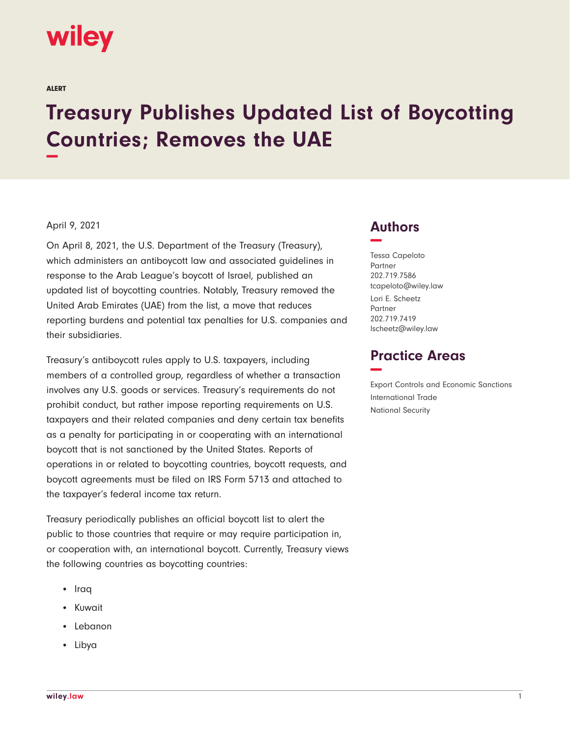

ALERT

## **Treasury Publishes Updated List of Boycotting Countries; Removes the UAE −**

## April 9, 2021

On April 8, 2021, the U.S. Department of the Treasury (Treasury), which administers an antiboycott law and associated guidelines in response to the Arab League's boycott of Israel, published an updated list of boycotting countries. Notably, Treasury removed the United Arab Emirates (UAE) from the list, a move that reduces reporting burdens and potential tax penalties for U.S. companies and their subsidiaries.

Treasury's antiboycott rules apply to U.S. taxpayers, including members of a controlled group, regardless of whether a transaction involves any U.S. goods or services. Treasury's requirements do not prohibit conduct, but rather impose reporting requirements on U.S. taxpayers and their related companies and deny certain tax benefits as a penalty for participating in or cooperating with an international boycott that is not sanctioned by the United States. Reports of operations in or related to boycotting countries, boycott requests, and boycott agreements must be filed on IRS Form 5713 and attached to the taxpayer's federal income tax return.

Treasury periodically publishes an official boycott list to alert the public to those countries that require or may require participation in, or cooperation with, an international boycott. Currently, Treasury views the following countries as boycotting countries:

- Iraq
- Kuwait
- Lebanon
- Libya

## **Authors −**

Tessa Capeloto Partner 202.719.7586 tcapeloto@wiley.law Lori E. Scheetz Partner 202.719.7419 lscheetz@wiley.law

## **Practice Areas −**

Export Controls and Economic Sanctions International Trade National Security